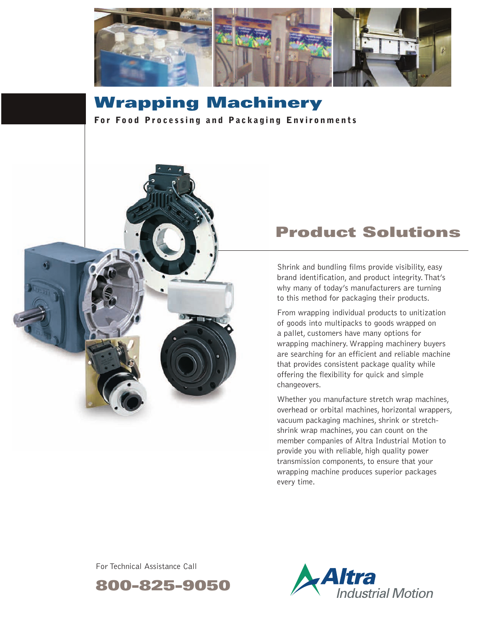

**Wrapping Machinery For Food Processing and Packaging Environments** 



# **Product Solutions**

Shrink and bundling films provide visibility, easy brand identification, and product integrity.That's why many of today's manufacturers are turning to this method for packaging their products.

From wrapping individual products to unitization of goods into multipacks to goods wrapped on a pallet, customers have many options for wrapping machinery. Wrapping machinery buyers are searching for an efficient and reliable machine that provides consistent package quality while offering the flexibility for quick and simple changeovers.

Whether you manufacture stretch wrap machines, overhead or orbital machines, horizontal wrappers, vacuum packaging machines, shrink or stretchshrink wrap machines, you can count on the member companies of Altra Industrial Motion to provide you with reliable, high quality power transmission components, to ensure that your wrapping machine produces superior packages every time.

For Technical Assistance Call